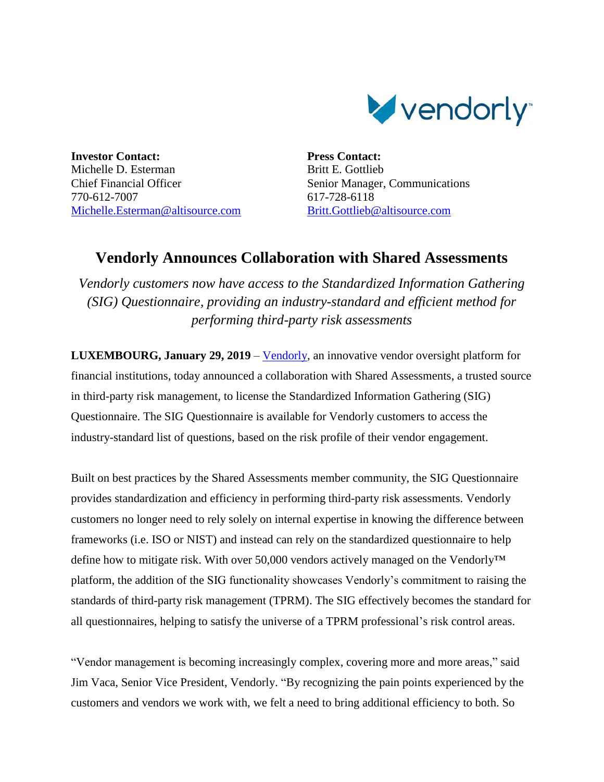

**Investor Contact:** Michelle D. Esterman Chief Financial Officer 770-612-7007 [Michelle.Esterman@altisource.com](mailto:Michelle.Esterman@altisource.com) **Press Contact:** Britt E. Gottlieb Senior Manager, Communications 617-728-6118 [Britt.Gottlieb@altisource.com](mailto:Britt.Gottlieb@altisource.com)

## **Vendorly Announces Collaboration with Shared Assessments**

*Vendorly customers now have access to the Standardized Information Gathering (SIG) Questionnaire, providing an industry-standard and efficient method for performing third-party risk assessments*

**LUXEMBOURG, January 29, 2019** – [Vendorly,](https://www.vendorly.com/?utm_source=globenewswire&utm_medium=Press%20Coverage&utm_campaign=190225-PRL-vendorlysharedassessments&utm_content=first) an innovative vendor oversight platform for financial institutions, today announced a collaboration with Shared Assessments, a trusted source in third-party risk management, to license the Standardized Information Gathering (SIG) Questionnaire. The SIG Questionnaire is available for Vendorly customers to access the industry-standard list of questions, based on the risk profile of their vendor engagement.

Built on best practices by the Shared Assessments member community, the SIG Questionnaire provides standardization and efficiency in performing third-party risk assessments. Vendorly customers no longer need to rely solely on internal expertise in knowing the difference between frameworks (i.e. ISO or NIST) and instead can rely on the standardized questionnaire to help define how to mitigate risk. With over 50,000 vendors actively managed on the Vendorly™ platform, the addition of the SIG functionality showcases Vendorly's commitment to raising the standards of third-party risk management (TPRM). The SIG effectively becomes the standard for all questionnaires, helping to satisfy the universe of a TPRM professional's risk control areas.

"Vendor management is becoming increasingly complex, covering more and more areas," said Jim Vaca, Senior Vice President, Vendorly. "By recognizing the pain points experienced by the customers and vendors we work with, we felt a need to bring additional efficiency to both. So